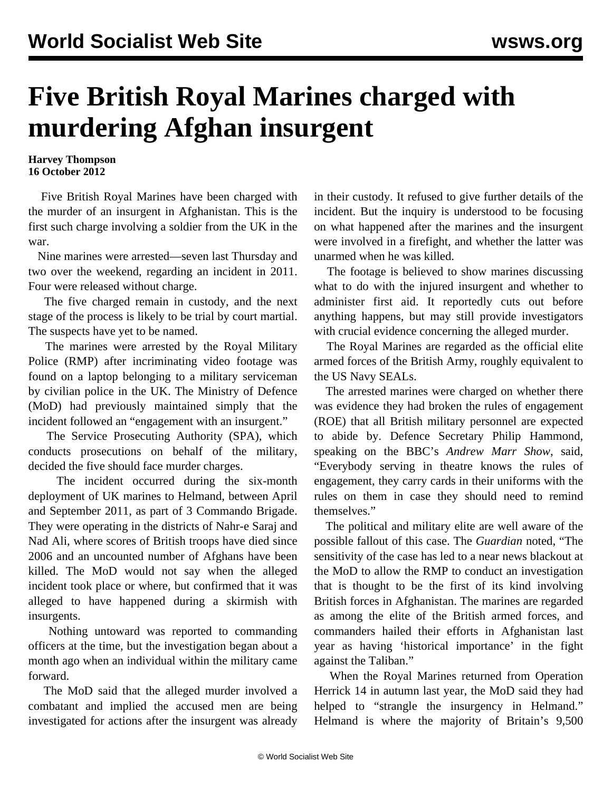## **Five British Royal Marines charged with murdering Afghan insurgent**

**Harvey Thompson 16 October 2012**

 Five British Royal Marines have been charged with the murder of an insurgent in Afghanistan. This is the first such charge involving a soldier from the UK in the war.

 Nine marines were arrested—seven last Thursday and two over the weekend, regarding an incident in 2011. Four were released without charge.

 The five charged remain in custody, and the next stage of the process is likely to be trial by court martial. The suspects have yet to be named.

 The marines were arrested by the Royal Military Police (RMP) after incriminating video footage was found on a laptop belonging to a military serviceman by civilian police in the UK. The Ministry of Defence (MoD) had previously maintained simply that the incident followed an "engagement with an insurgent."

 The Service Prosecuting Authority (SPA), which conducts prosecutions on behalf of the military, decided the five should face murder charges.

 The incident occurred during the six-month deployment of UK marines to Helmand, between April and September 2011, as part of 3 Commando Brigade. They were operating in the districts of Nahr-e Saraj and Nad Ali, where scores of British troops have died since 2006 and an uncounted number of Afghans have been killed. The MoD would not say when the alleged incident took place or where, but confirmed that it was alleged to have happened during a skirmish with insurgents.

 Nothing untoward was reported to commanding officers at the time, but the investigation began about a month ago when an individual within the military came forward.

 The MoD said that the alleged murder involved a combatant and implied the accused men are being investigated for actions after the insurgent was already in their custody. It refused to give further details of the incident. But the inquiry is understood to be focusing on what happened after the marines and the insurgent were involved in a firefight, and whether the latter was unarmed when he was killed.

 The footage is believed to show marines discussing what to do with the injured insurgent and whether to administer first aid. It reportedly cuts out before anything happens, but may still provide investigators with crucial evidence concerning the alleged murder.

 The Royal Marines are regarded as the official elite armed forces of the British Army, roughly equivalent to the US Navy SEALs.

 The arrested marines were charged on whether there was evidence they had broken the rules of engagement (ROE) that all British military personnel are expected to abide by. Defence Secretary Philip Hammond, speaking on the BBC's *Andrew Marr Show*, said, "Everybody serving in theatre knows the rules of engagement, they carry cards in their uniforms with the rules on them in case they should need to remind themselves."

 The political and military elite are well aware of the possible fallout of this case. The *Guardian* noted, "The sensitivity of the case has led to a near news blackout at the MoD to allow the RMP to conduct an investigation that is thought to be the first of its kind involving British forces in Afghanistan. The marines are regarded as among the elite of the British armed forces, and commanders hailed their efforts in Afghanistan last year as having 'historical importance' in the fight against the Taliban."

 When the Royal Marines returned from Operation Herrick 14 in autumn last year, the MoD said they had helped to "strangle the insurgency in Helmand." Helmand is where the majority of Britain's 9,500